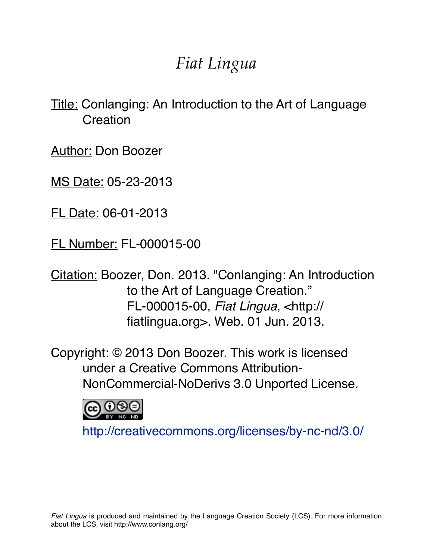# *Fiat Lingua*

Title: Conlanging: An Introduction to the Art of Language **Creation** 

Author: Don Boozer

MS Date: 05-23-2013

FL Date: 06-01-2013

FL Number: FL-000015-00

Citation: Boozer, Don. 2013. "Conlanging: An Introduction to the Art of Language Creation." FL-000015-00, *Fiat Lingua*, <http:// fiatlingua.org>. Web. 01 Jun. 2013.

Copyright: © 2013 Don Boozer. This work is licensed under a Creative Commons Attribution-NonCommercial-NoDerivs 3.0 Unported License.



<http://creativecommons.org/licenses/by-nc-nd/3.0/>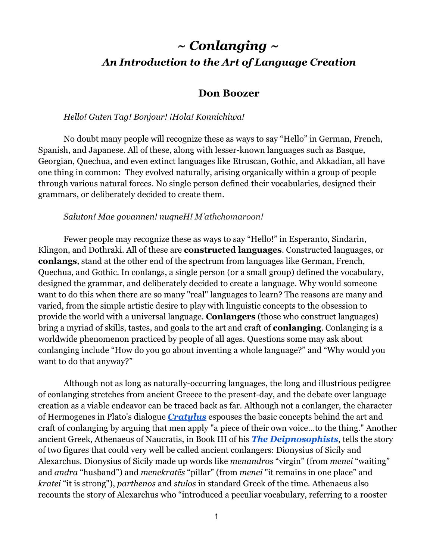# *~ Conlanging ~ An Introduction to the Art of Language Creation*

## **Don Boozer**

### *Hello! Guten Tag! Bonjour! ¡Hola! Konnichiwa!*

No doubt many people will recognize these as ways to say "Hello" in German, French, Spanish, and Japanese. All of these, along with lesser-known languages such as Basque, Georgian, Quechua, and even extinct languages like Etruscan, Gothic, and Akkadian, all have one thing in common: They evolved naturally, arising organically within a group of people through various natural forces. No single person defined their vocabularies, designed their grammars, or deliberately decided to create them.

#### *Saluton! Mae govannen! nuqneH! M'athchomaroon!*

Fewer people may recognize these as ways to say "Hello!" in Esperanto, Sindarin, Klingon, and Dothraki. All of these are **constructed languages**. Constructed languages, or **conlangs**, stand at the other end of the spectrum from languages like German, French, Quechua, and Gothic. In conlangs, a single person (or a small group) defined the vocabulary, designed the grammar, and deliberately decided to create a language. Why would someone want to do this when there are so many "real" languages to learn? The reasons are many and varied, from the simple artistic desire to play with linguistic concepts to the obsession to provide the world with a universal language. **Conlangers** (those who construct languages) bring a myriad of skills, tastes, and goals to the art and craft of **conlanging**. Conlanging is a worldwide phenomenon practiced by people of all ages. Questions some may ask about conlanging include "How do you go about inventing a whole language?" and "Why would you want to do that anyway?"

Although not as long as naturally-occurring languages, the long and illustrious pedigree of conlanging stretches from ancient Greece to the present-day, and the debate over language creation as a viable endeavor can be traced back as far. Although not a conlanger, the character of Hermogenes in Plato's dialogue *[Cratylus](http://www.google.com/url?q=http%3A%2F%2Fclassics.mit.edu%2FPlato%2Fcratylus.html&sa=D&sntz=1&usg=AFQjCNEPUaD80TPQFES3RqwHnowuNqFSjw)* espouses the basic concepts behind the art and craft of conlanging by arguing that men apply "a piece of their own voice...to the thing." Another ancient Greek, Athenaeus of Naucratis, in Book III of his *The [Deipnosophists](http://www.google.com/url?q=http%3A%2F%2Fwww.gutenberg.org%2Ffiles%2F36921%2F36921-h%2F36921-h.htm&sa=D&sntz=1&usg=AFQjCNGPxNO_jh-vaH0PfPJTaGfGsbbLgg)*, tells the story of two figures that could very well be called ancient conlangers: Dionysius of Sicily and Alexarchus. Dionysius of Sicily made up words like *menandros* "virgin" (from *menei* "waiting" and *andra* "husband") and *menekratēs* "pillar" (from *menei* "it remains in one place" and *kratei* "it is strong"), *parthenos* and *stulos* in standard Greek of the time. Athenaeus also recounts the story of Alexarchus who "introduced a peculiar vocabulary, referring to a rooster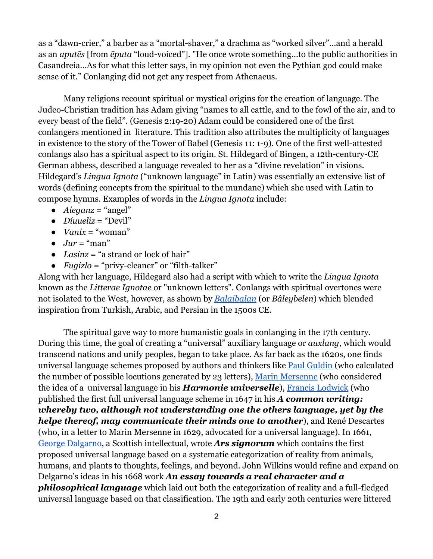as a "dawn-crier," a barber as a "mortal-shaver," a drachma as "worked silver"...and a herald as an *aputēs* [from *ēputa* "loud-voiced"]. "He once wrote something...to the public authorities in Casandreia...As for what this letter says, in my opinion not even the Pythian god could make sense of it." Conlanging did not get any respect from Athenaeus.

Many religions recount spiritual or mystical origins for the creation of language. The Judeo-Christian tradition has Adam giving "names to all cattle, and to the fowl of the air, and to every beast of the field". (Genesis 2:19-20) Adam could be considered one of the first conlangers mentioned in literature. This tradition also attributes the multiplicity of languages in existence to the story of the Tower of Babel (Genesis 11: 1-9). One of the first well-attested conlangs also has a spiritual aspect to its origin. St. Hildegard of Bingen, a 12th-century-CE German abbess, described a language revealed to her as a "divine revelation" in visions. Hildegard's *Lingua Ignota* ("unknown language" in Latin) was essentially an extensive list of words (defining concepts from the spiritual to the mundane) which she used with Latin to compose hymns. Examples of words in the *Lingua Ignota* include:

- *Aieganz* = "angel"
- *Díuueliz* = "Devil"
- $\bullet$  *Vanix* = "woman"
- $\bullet$  *Jur* = "man"
- *Lasinz* = "a strand or lock of hair"
- *Fugizlo* = "privy-cleaner" or "filth-talker"

Along with her language, Hildegard also had a script with which to write the *Lingua Ignota* known as the *Litterae Ignotae* or "unknown letters". Conlangs with spiritual overtones were not isolated to the West, however, as shown by *[Balaibalan](http://www.google.com/url?q=http%3A%2F%2Fen.wikipedia.org%2Fwiki%2FBalaibalan&sa=D&sntz=1&usg=AFQjCNGOG7XRz9EiYH8sONtV-W3UxCtQ1g)* (or *Bâleybelen*) which blended inspiration from Turkish, Arabic, and Persian in the 1500s CE.

The spiritual gave way to more humanistic goals in conlanging in the 17th century. During this time, the goal of creating a "universal" auxiliary language or *auxlang*, which would transcend nations and unify peoples, began to take place. As far back as the 1620s, one finds universal language schemes proposed by authors and thinkers like Paul [Guldin](http://www.google.com/url?q=http%3A%2F%2Fwww-history.mcs.st-andrews.ac.uk%2FBiographies%2FGuldin.html&sa=D&sntz=1&usg=AFQjCNGsZIPNFV4P-Ps3wdRa2GxNAG3W5w) (who calculated the number of possible locutions generated by 23 letters), Marin [Mersenne](http://www.google.com/url?q=http%3A%2F%2Fen.wikipedia.org%2Fwiki%2FMarin_Mersenne&sa=D&sntz=1&usg=AFQjCNFQozf7WWQJQzT18QwS4Fym3aDTLw) (who considered the idea of a universal language in his *Harmonie universelle*), Francis [Lodwick](http://www.google.com/url?q=http%3A%2F%2Fwww.cems.ox.ac.uk%2Fbib_lodwick.shtml&sa=D&sntz=1&usg=AFQjCNG5u5G0FNXk-X_KcyVKbumH0t6eDQ) (who published the first full universal language scheme in 1647 in his *A common writing: whereby two, although not understanding one the others language, yet by the helpe thereof, may communicate their minds one to another*), and René Descartes (who, in a letter to Marin Mersenne in 1629, advocated for a universal language). In 1661, George [Dalgarno,](http://www.google.com/url?q=http%3A%2F%2Fen.wikipedia.org%2Fwiki%2FGeorge_Dalgarno&sa=D&sntz=1&usg=AFQjCNGn-Yv31afNY6kHhGzFBsL5kTi_2g) a Scottish intellectual, wrote *Ars signorum* which contains the first proposed universal language based on a systematic categorization of reality from animals, humans, and plants to thoughts, feelings, and beyond. John Wilkins would refine and expand on Delgarno's ideas in his 1668 work *An essay towards a real character and a philosophical language* which laid out both the categorization of reality and a full-fledged universal language based on that classification. The 19th and early 20th centuries were littered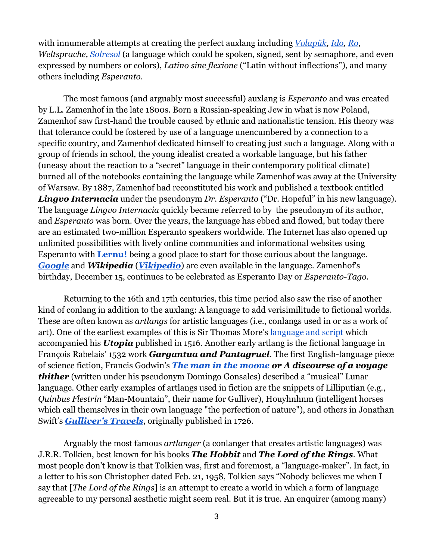with innumerable attempts at creating the perfect auxlang including *[Volapük,](http://www.google.com/url?q=http%3A%2F%2Fxn--volapk-7ya.com%2F&sa=D&sntz=1&usg=AFQjCNFX8crQiineKM4Kku11yn-GH0xq-w) [Ido,](http://www.google.com/url?q=http%3A%2F%2Fwww.omniglot.com%2Fwriting%2Fido.htm&sa=D&sntz=1&usg=AFQjCNEtCbcjSc7vgHjVELY00E8E957iDQ) [Ro,](http://books.google.com/books?vid=OCLC02613756) Weltsprache, [Solresol](http://www.google.com/url?q=http%3A%2F%2Fmozai.com%2Fwriting%2Fnot_mine%2Fsolresol%2F&sa=D&sntz=1&usg=AFQjCNEiNLsLQDJ1ytrI40QuBCdzwiSFKw)* (a language which could be spoken, signed, sent by semaphore, and even expressed by numbers or colors), *Latino sine flexione* ("Latin without inflections"), and many others including *Esperanto*.

The most famous (and arguably most successful) auxlang is *Esperanto* and was created by L.L. Zamenhof in the late 1800s. Born a Russian-speaking Jew in what is now Poland, Zamenhof saw first-hand the trouble caused by ethnic and nationalistic tension. His theory was that tolerance could be fostered by use of a language unencumbered by a connection to a specific country, and Zamenhof dedicated himself to creating just such a language. Along with a group of friends in school, the young idealist created a workable language, but his father (uneasy about the reaction to a "secret" language in their contemporary political climate) burned all of the notebooks containing the language while Zamenhof was away at the University of Warsaw. By 1887, Zamenhof had reconstituted his work and published a textbook entitled *Lingvo Internacia* under the pseudonym *Dr. Esperanto* ("Dr. Hopeful" in his new language). The language *Lingvo Internacia* quickly became referred to by the pseudonym of its author, and *Esperanto* was born. Over the years, the language has ebbed and flowed, but today there are an estimated two-million Esperanto speakers worldwide. The Internet has also opened up unlimited possibilities with lively online communities and informational websites using Esperanto with **[Lernu!](http://www.google.com/url?q=http%3A%2F%2Fen.lernu.net%2F&sa=D&sntz=1&usg=AFQjCNFEwWERqxbxgUW3edHzo4yy_yRX2Q)** being a good place to start for those curious about the language. *[Google](https://www.google.com/webhp?hl=eo)* and *Wikipedia* (*[Vikipedio](http://www.google.com/url?q=http%3A%2F%2Feo.wikipedia.org%2Fwiki%2FVikipedio%3A%25C4%2588efpa%25C4%259Do&sa=D&sntz=1&usg=AFQjCNFNKCIBPdUs9UMvlIONWbkLjFbhmQ)*) are even available in the language. Zamenhof's birthday, December 15, continues to be celebrated as Esperanto Day or *Esperanto-Tago*.

Returning to the 16th and 17th centuries, this time period also saw the rise of another kind of conlang in addition to the auxlang: A language to add verisimilitude to fictional worlds. These are often known as *artlangs* for artistic languages (i.e., conlangs used in or as a work of art). One of the earliest examples of this is Sir Thomas More's [language](http://www.google.com/url?q=http%3A%2F%2Fen.wikipedia.org%2Fwiki%2FUtopian_language&sa=D&sntz=1&usg=AFQjCNGps9cpbQdPSiqLke3_V0SzrO4K3g) and script which accompanied his *Utopia* published in 1516. Another early artlang is the fictional language in François Rabelais' 1532 work *Gargantua and Pantagruel*. The first English-language piece of science fiction, Francis Godwin's *The man in the [moone](http://www.google.com/url?q=http%3A%2F%2Farchive.org%2Fdetails%2Fman_in_moone_1202_librivox&sa=D&sntz=1&usg=AFQjCNH6T-l9lCkMPVPI6Rb01lAv9L2d_g) or A discourse of a voyage thither* (written under his pseudonym Domingo Gonsales) described a "musical" Lunar language. Other early examples of artlangs used in fiction are the snippets of Lilliputian (e.g., *Quinbus Flestrin* "Man-Mountain", their name for Gulliver), Houyhnhnm (intelligent horses which call themselves in their own language "the perfection of nature"), and others in Jonathan Swift's *[Gulliver's](http://www.google.com/url?q=http%3A%2F%2Fwww.gutenberg.org%2Ffiles%2F829%2F829-h%2F829-h.htm&sa=D&sntz=1&usg=AFQjCNF9H9VxNmX3u__eMnzQCuPtHkTBWg) Travels*, originally published in 1726.

Arguably the most famous *artlanger* (a conlanger that creates artistic languages) was J.R.R. Tolkien, best known for his books *The Hobbit* and *The Lord of the Rings*. What most people don't know is that Tolkien was, first and foremost, a "language-maker". In fact, in a letter to his son Christopher dated Feb. 21, 1958, Tolkien says "Nobody believes me when I say that [*The Lord of the Rings*] is an attempt to create a world in which a form of language agreeable to my personal aesthetic might seem real. But it is true. An enquirer (among many)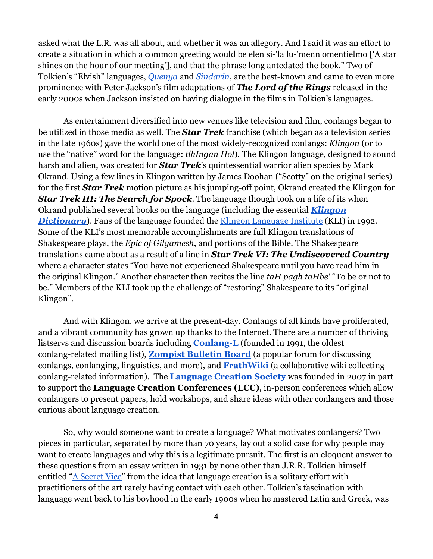asked what the L.R. was all about, and whether it was an allegory. And I said it was an effort to create a situation in which a common greeting would be elen si-'la lu-'menn omentielmo ['A star shines on the hour of our meeting'], and that the phrase long antedated the book." Two of Tolkien's "Elvish" languages, *[Quenya](http://www.google.com/url?q=http%3A%2F%2Ffolk.uib.no%2Fhnohf%2Fquenya.htm&sa=D&sntz=1&usg=AFQjCNHp4jzVHUbyWwB8X6M0xiOXaLpeLA)* and *[Sindarin](http://www.google.com/url?q=http%3A%2F%2Ffolk.uib.no%2Fhnohf%2Fsindarin.htm&sa=D&sntz=1&usg=AFQjCNG9R3oQT7KpyzH_gk4KijnbnDWkNQ)*, are the best-known and came to even more prominence with Peter Jackson's film adaptations of *The Lord of the Rings* released in the early 2000s when Jackson insisted on having dialogue in the films in Tolkien's languages.

As entertainment diversified into new venues like television and film, conlangs began to be utilized in those media as well. The *Star Trek* franchise (which began as a television series in the late 1960s) gave the world one of the most widely-recognized conlangs: *Klingon* (or to use the "native" word for the language: *tlhIngan Hol*). The Klingon language, designed to sound harsh and alien, was created for *Star Trek*'s quintessential warrior alien species by Mark Okrand. Using a few lines in Klingon written by James Doohan ("Scotty" on the original series) for the first *Star Trek* motion picture as his jumping-off point, Okrand created the Klingon for *Star Trek III: The Search for Spock*. The language though took on a life of its when Okrand published several books on the language (including the essential *[Klingon](http://www.google.com/url?q=http%3A%2F%2Fwww.amazon.com%2FKlingon-Dictionary-Star-Trek%2Fdp%2F067174559X&sa=D&sntz=1&usg=AFQjCNFNfW5YHFljrL1ff0XJT9Y11ROKPw)* **[Dictionary](http://www.google.com/url?q=http%3A%2F%2Fwww.amazon.com%2FKlingon-Dictionary-Star-Trek%2Fdp%2F067174559X&sa=D&sntz=1&usg=AFQjCNFNfW5YHFljrL1ff0XJT9Y11ROKPw)**). Fans of the language founded the <u>Klingon [Language](http://www.google.com/url?q=http%3A%2F%2Fwww.kli.org%2F&sa=D&sntz=1&usg=AFQjCNH0SiER387jFyizJyRvjUcheiAorA) Institute</u> (KLI) in 1992. Some of the KLI's most memorable accomplishments are full Klingon translations of Shakespeare plays, the *Epic of Gilgamesh*, and portions of the Bible. The Shakespeare translations came about as a result of a line in *Star Trek VI: The Undiscovered Country* where a character states "You have not experienced Shakespeare until you have read him in the original Klingon." Another character then recites the line *taH pagh taHbe'* "To be or not to be." Members of the KLI took up the challenge of "restoring" Shakespeare to its "original Klingon".

And with Klingon, we arrive at the present-day. Conlangs of all kinds have proliferated, and a vibrant community has grown up thanks to the Internet. There are a number of thriving listservs and discussion boards including **[Conlang-L](http://www.google.com/url?q=http%3A%2F%2Flistserv.brown.edu%2Fconlang.html&sa=D&sntz=1&usg=AFQjCNG22uZqDUezAgd8U3FU9F-L6V4pLw)** (founded in 1991, the oldest conlang-related mailing list), **[Zompist](http://www.google.com/url?q=http%3A%2F%2Fwww.incatena.org%2F&sa=D&sntz=1&usg=AFQjCNHPIonoF0gKkc8brnwR8nRhrPYa_Q) Bulletin Board** (a popular forum for discussing conlangs, conlanging, linguistics, and more), and **[FrathWiki](http://www.google.com/url?q=http%3A%2F%2Fwww.frathwiki.com%2FMain_Page&sa=D&sntz=1&usg=AFQjCNElfNlT9ER29OUQgivHidsBLK68Rg)** (a collaborative wiki collecting conlang-related information). The **[Language](http://www.google.com/url?q=http%3A%2F%2Fconlang.org&sa=D&sntz=1&usg=AFQjCNHawWq3TXEFdnkkB1SW1OgwhppiKw) Creation Society** was founded in 2007 in part to support the **Language Creation Conferences (LCC)**, in-person conferences which allow conlangers to present papers, hold workshops, and share ideas with other conlangers and those curious about language creation.

So, why would someone want to create a language? What motivates conlangers? Two pieces in particular, separated by more than 70 years, lay out a solid case for why people may want to create languages and why this is a legitimate pursuit. The first is an eloquent answer to these questions from an essay written in 1931 by none other than J.R.R. Tolkien himself entitled "A [Secret](http://www.google.com/url?q=http%3A%2F%2Fsmu.edu%2Ftolkien%2Fonline_reader%2FT-ASecretVice.PDF&sa=D&sntz=1&usg=AFQjCNFpukwGXFXNb17O9ij9IS0jvJqrPw) Vice" from the idea that language creation is a solitary effort with practitioners of the art rarely having contact with each other. Tolkien's fascination with language went back to his boyhood in the early 1900s when he mastered Latin and Greek, was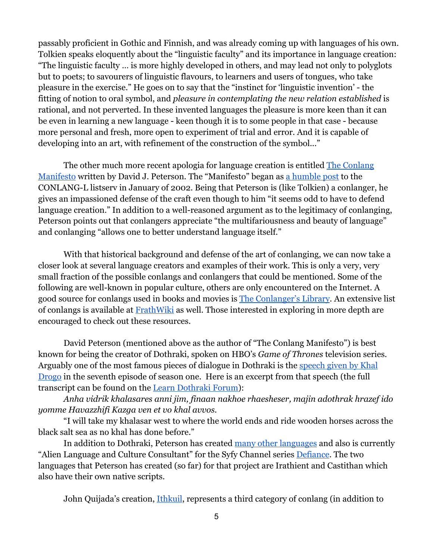passably proficient in Gothic and Finnish, and was already coming up with languages of his own. Tolkien speaks eloquently about the "linguistic faculty" and its importance in language creation: "The linguistic faculty … is more highly developed in others, and may lead not only to polyglots but to poets; to savourers of linguistic flavours, to learners and users of tongues, who take pleasure in the exercise." He goes on to say that the "instinct for 'linguistic invention' - the fitting of notion to oral symbol, and *pleasure in contemplating the new relation established* is rational, and not perverted. In these invented languages the pleasure is more keen than it can be even in learning a new language - keen though it is to some people in that case - because more personal and fresh, more open to experiment of trial and error. And it is capable of developing into an art, with refinement of the construction of the symbol..."

The other much more recent apologia for language creation is entitled The [Conlang](http://www.google.com/url?q=http%3A%2F%2Fdedalvs.com%2Fnotes%2Fmanifesto.php&sa=D&sntz=1&usg=AFQjCNEUqWxRGNUaT8g-fgt43NmUIbWXWQ) [Manifesto](http://www.google.com/url?q=http%3A%2F%2Fdedalvs.com%2Fnotes%2Fmanifesto.php&sa=D&sntz=1&usg=AFQjCNEUqWxRGNUaT8g-fgt43NmUIbWXWQ) written by David J. Peterson. The "Manifesto" began as a [humble](http://www.google.com/url?q=http%3A%2F%2Farchives.conlang.info%2Fce%2Fjusae%2Ftheilvepian.html&sa=D&sntz=1&usg=AFQjCNGmwFxghDv5X_TzyBcBc4Ir9pNN2g) post to the CONLANG-L listserv in January of 2002. Being that Peterson is (like Tolkien) a conlanger, he gives an impassioned defense of the craft even though to him "it seems odd to have to defend language creation." In addition to a well-reasoned argument as to the legitimacy of conlanging, Peterson points out that conlangers appreciate "the multifariousness and beauty of language" and conlanging "allows one to better understand language itself."

With that historical background and defense of the art of conlanging, we can now take a closer look at several language creators and examples of their work. This is only a very, very small fraction of the possible conlangs and conlangers that could be mentioned. Some of the following are well-known in popular culture, others are only encountered on the Internet. A good source for conlangs used in books and movies is The [Conlanger's](http://www.google.com/url?q=http%3A%2F%2Flibrary.conlang.org&sa=D&sntz=1&usg=AFQjCNHOwmtsy26rSURKxbswIPXOHFaP6g) Library. An extensive list of conlangs is available at [FrathWiki](http://www.google.com/url?q=http%3A%2F%2Fwww.frathwiki.com%2FCategory%3AConlangs&sa=D&sntz=1&usg=AFQjCNEaP46X_TAuliXbGqh0OsSYu19Pvw) as well. Those interested in exploring in more depth are encouraged to check out these resources.

David Peterson (mentioned above as the author of "The Conlang Manifesto") is best known for being the creator of Dothraki, spoken on HBO's *Game of Thrones* television series. Arguably one of the most famous pieces of dialogue in Dothraki is the [speech](http://www.youtube.com/watch?v=TsG9R7rFeq8) given by Khal [Drogo](http://www.youtube.com/watch?v=TsG9R7rFeq8) in the seventh episode of season one. Here is an excerpt from that speech (the full transcript can be found on the Learn [Dothraki](http://www.google.com/url?q=http%3A%2F%2Fforum.dothraki.org%2Fhbo-game-of-thrones%2Fdothraki-dialogue-from-the-tv-series%2F&sa=D&sntz=1&usg=AFQjCNGhiMzLOjyrSi8RPntRQA8ScJTstQ) Forum):

*Anha vidrik khalasares anni jim, finaan nakhoe rhaesheser, majin adothrak hrazef ido yomme Havazzhifi Kazga ven et vo khal avvos.*

"I will take my khalasar west to where the world ends and ride wooden horses across the black salt sea as no khal has done before."

In addition to Dothraki, Peterson has created many other [languages](http://www.google.com/url?q=http%3A%2F%2Fdedalvs.conlang.org%2F&sa=D&sntz=1&usg=AFQjCNGjYoaTKi8QchfRvoGOPQr9PiYckA) and also is currently "Alien Language and Culture Consultant" for the Syfy Channel series [Defiance.](http://www.google.com/url?q=http%3A%2F%2Fdefiance.com%2Fen%2F&sa=D&sntz=1&usg=AFQjCNFkZ7aKQMYjm1d8X_CpfY2Zg1O3-w) The two languages that Peterson has created (so far) for that project are Irathient and Castithan which also have their own native scripts.

John Quijada's creation, [Ithkuil,](http://www.google.com/url?q=http%3A%2F%2Fwww.ithkuil.net%2F&sa=D&sntz=1&usg=AFQjCNEFxuBlEm8hGpwiajoLCER57FqM7A) represents a third category of conlang (in addition to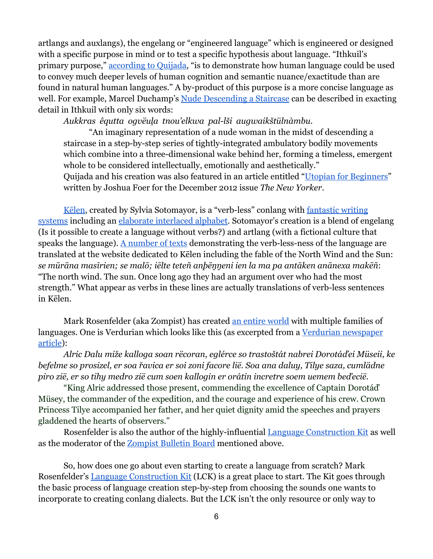artlangs and auxlangs), the engelang or "engineered language" which is engineered or designed with a specific purpose in mind or to test a specific hypothesis about language. "Ithkuil's primary purpose," [according](http://www.google.com/url?q=http%3A%2F%2Fwww.ithkuil.net%2Ffaqs.html&sa=D&sntz=1&usg=AFQjCNFmsB3MjcucORoj4Hi0DSBe-c9rvQ) to Quijada, "is to demonstrate how human language could be used to convey much deeper levels of human cognition and semantic nuance/exactitude than are found in natural human languages." A by-product of this purpose is a more concise language as well. For example, Marcel Duchamp's Nude [Descending](http://www.google.com/url?q=http%3A%2F%2Fwww.ithkuil.net%2Ftexts.html%23duchamp&sa=D&sntz=1&usg=AFQjCNHByE-05kjUaPNcjikr-Jzm5iPz_Q) a Staircase can be described in exacting detail in Ithkuil with only six words:

*Aukkras êqutta ogvëuļa tnou'elkwa pal-lši augwaikštülnàmbu.*

"An imaginary representation of a nude woman in the midst of descending a staircase in a step-by-step series of tightly-integrated ambulatory bodily movements which combine into a three-dimensional wake behind her, forming a timeless, emergent whole to be considered intellectually, emotionally and aesthetically." Quijada and his creation was also featured in an article entitled "Utopian for [Beginners"](http://www.google.com/url?q=http%3A%2F%2Fwww.newyorker.com%2Freporting%2F2012%2F12%2F24%2F121224fa_fact_foer&sa=D&sntz=1&usg=AFQjCNGZO7C3gJu2SYj4w4tNw5emezOajA) written by Joshua Foer for the December 2012 issue *The New Yorker*.

[Kēlen,](http://www.google.com/url?q=http%3A%2F%2Fwww.terjemar.net%2Fkelen.php&sa=D&sntz=1&usg=AFQjCNHPygmHlH6zblqWfikAAOd0GTeEuA) created by Sylvia Sotomayor, is a "verb-less" conlang with [fantastic](http://www.google.com/url?q=http%3A%2F%2Fwww.terjemar.net%2Fwriting.php&sa=D&sntz=1&usg=AFQjCNFXNhr-ENASSvGB54gpZUgfFwBBzA) writing [systems](http://www.google.com/url?q=http%3A%2F%2Fwww.terjemar.net%2Fwriting.php&sa=D&sntz=1&usg=AFQjCNFXNhr-ENASSvGB54gpZUgfFwBBzA) including an elaborate [interlaced](http://www.google.com/url?q=http%3A%2F%2Fwww.terjemar.net%2Flajathin.php&sa=D&sntz=1&usg=AFQjCNHoxKRYpTq1yjmXbWjUuCC6Z15lBw) alphabet. Sotomayor's creation is a blend of engelang (Is it possible to create a language without verbs?) and artlang (with a fictional culture that speaks the language). A [number](http://www.google.com/url?q=http%3A%2F%2Fwww.terjemar.net%2Ftranslations.php&sa=D&sntz=1&usg=AFQjCNHoU2xm8wZAL7-C3qU_lqUWnLRiBw) of texts demonstrating the verb-less-ness of the language are translated at the website dedicated to Kēlen including the fable of the North Wind and the Sun: *se mūrāna masīrien; se malō; iēlte teteñ anþēŋŋeni ien la ma pa antāken anānexa makēñ*: "The north wind. The sun. Once long ago they had an argument over who had the most strength." What appear as verbs in these lines are actually translations of verb-less sentences in Kēlen.

Mark Rosenfelder (aka Zompist) has created an [entire](http://www.google.com/url?q=http%3A%2F%2Fwww.zompist.com%2Fvirtuver.htm&sa=D&sntz=1&usg=AFQjCNGgW9WcSfbTObYhGp8U6_066Is_Ww) world with multiple families of languages. One is Verdurian which looks like this (as excerpted from a Verdurian [newspaper](http://www.google.com/url?q=http%3A%2F%2Fwww.zompist.com%2Fvtexts.htm%23launch&sa=D&sntz=1&usg=AFQjCNFaBvN_aufpSgLz32E_XJC0lB3oSw) [article\)](http://www.google.com/url?q=http%3A%2F%2Fwww.zompist.com%2Fvtexts.htm%23launch&sa=D&sntz=1&usg=AFQjCNFaBvN_aufpSgLz32E_XJC0lB3oSw):

*Alric Dalu miže kalloga soan rëcoran, eglérce so trastoštát nabrei Dorotáďei Müseii, ke befelme so prosizel, er soa řavica er soi zoni facore lië. Soa ana daluy, Tilye saza, cumlädne piro zië, er so tihy medro zië cum soen kallogin er orátin incretre soem uemem beďecië.*

"King Alric addressed those present, commending the excellence of Captain Dorotáď Müsey, the commander of the expedition, and the courage and experience of his crew. Crown Princess Tilye accompanied her father, and her quiet dignity amid the speeches and prayers gladdened the hearts of observers."

Rosenfelder is also the author of the highly-influential Language [Construction](http://www.google.com/url?q=http%3A%2F%2Fwww.zompist.com%2Fkit.html&sa=D&sntz=1&usg=AFQjCNGOx4vOnEKoZ5ZBLTQhbUpnWi6F4w) Kit as well as the moderator of the [Zompist](http://www.google.com/url?q=http%3A%2F%2Fwww.incatena.org%2F&sa=D&sntz=1&usg=AFQjCNHPIonoF0gKkc8brnwR8nRhrPYa_Q) Bulletin Board mentioned above.

So, how does one go about even starting to create a language from scratch? Mark Rosenfelder's Language [Construction](http://www.google.com/url?q=http%3A%2F%2Fwww.zompist.com%2Fkit.html&sa=D&sntz=1&usg=AFQjCNGOx4vOnEKoZ5ZBLTQhbUpnWi6F4w) Kit (LCK) is a great place to start. The Kit goes through the basic process of language creation step-by-step from choosing the sounds one wants to incorporate to creating conlang dialects. But the LCK isn't the only resource or only way to